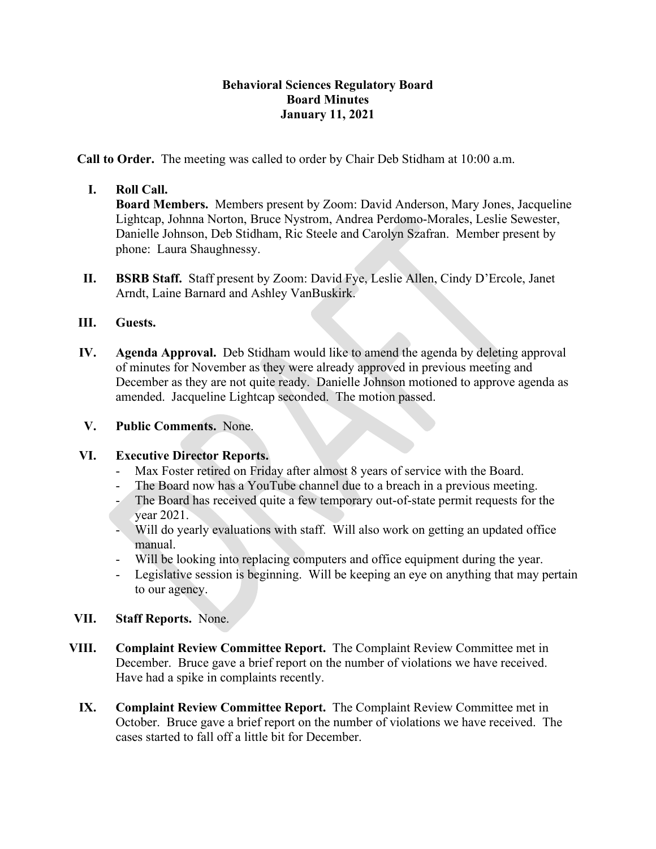## **Behavioral Sciences Regulatory Board Board Minutes January 11, 2021**

**Call to Order.** The meeting was called to order by Chair Deb Stidham at 10:00 a.m.

# **I. Roll Call.**

**Board Members.** Members present by Zoom: David Anderson, Mary Jones, Jacqueline Lightcap, Johnna Norton, Bruce Nystrom, Andrea Perdomo-Morales, Leslie Sewester, Danielle Johnson, Deb Stidham, Ric Steele and Carolyn Szafran. Member present by phone: Laura Shaughnessy.

**II. BSRB Staff.** Staff present by Zoom: David Fye, Leslie Allen, Cindy D'Ercole, Janet Arndt, Laine Barnard and Ashley VanBuskirk.

## **III. Guests.**

**IV. Agenda Approval.** Deb Stidham would like to amend the agenda by deleting approval of minutes for November as they were already approved in previous meeting and December as they are not quite ready. Danielle Johnson motioned to approve agenda as amended. Jacqueline Lightcap seconded. The motion passed.

## **V. Public Comments.** None.

## **VI. Executive Director Reports.**

- Max Foster retired on Friday after almost 8 years of service with the Board.
- The Board now has a YouTube channel due to a breach in a previous meeting.
- The Board has received quite a few temporary out-of-state permit requests for the year 2021.
- Will do yearly evaluations with staff. Will also work on getting an updated office manual.
- Will be looking into replacing computers and office equipment during the year.
- Legislative session is beginning. Will be keeping an eye on anything that may pertain to our agency.
- **VII. Staff Reports.** None.
- **VIII. Complaint Review Committee Report.** The Complaint Review Committee met in December. Bruce gave a brief report on the number of violations we have received. Have had a spike in complaints recently.
	- **IX. Complaint Review Committee Report.** The Complaint Review Committee met in October. Bruce gave a brief report on the number of violations we have received. The cases started to fall off a little bit for December.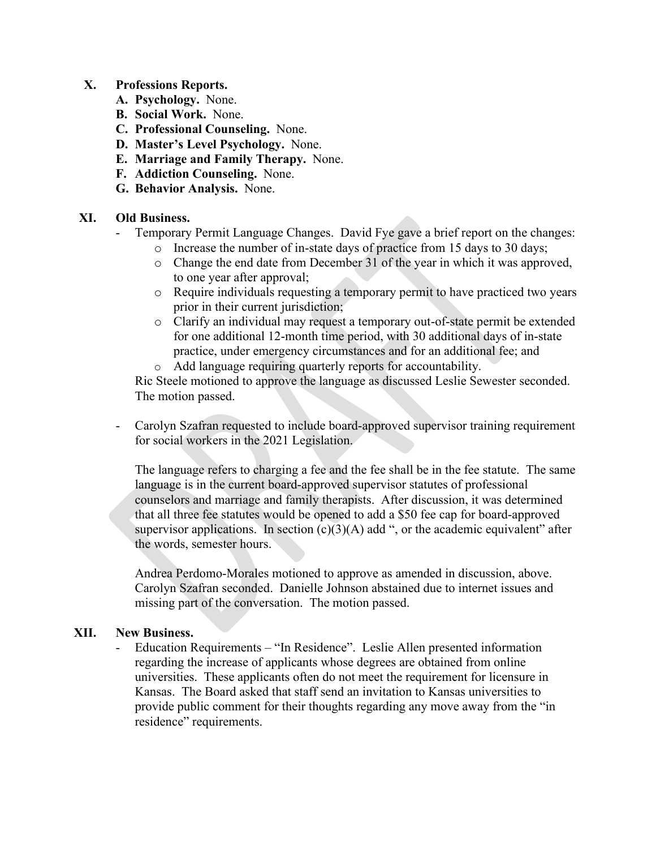#### **X. Professions Reports.**

- **A. Psychology.** None.
- **B. Social Work.** None.
- **C. Professional Counseling.** None.
- **D. Master's Level Psychology.** None.
- **E. Marriage and Family Therapy.** None.
- **F. Addiction Counseling.** None.
- **G. Behavior Analysis.** None.

#### **XI. Old Business.**

- Temporary Permit Language Changes. David Fye gave a brief report on the changes:
	- o Increase the number of in-state days of practice from 15 days to 30 days;
	- o Change the end date from December 31 of the year in which it was approved, to one year after approval;
	- o Require individuals requesting a temporary permit to have practiced two years prior in their current jurisdiction;
	- o Clarify an individual may request a temporary out-of-state permit be extended for one additional 12-month time period, with 30 additional days of in-state practice, under emergency circumstances and for an additional fee; and
	- o Add language requiring quarterly reports for accountability.

Ric Steele motioned to approve the language as discussed Leslie Sewester seconded. The motion passed.

- Carolyn Szafran requested to include board-approved supervisor training requirement for social workers in the 2021 Legislation.

The language refers to charging a fee and the fee shall be in the fee statute. The same language is in the current board-approved supervisor statutes of professional counselors and marriage and family therapists. After discussion, it was determined that all three fee statutes would be opened to add a \$50 fee cap for board-approved supervisor applications. In section  $(c)(3)(A)$  add ", or the academic equivalent" after the words, semester hours.

Andrea Perdomo-Morales motioned to approve as amended in discussion, above. Carolyn Szafran seconded. Danielle Johnson abstained due to internet issues and missing part of the conversation. The motion passed.

#### **XII. New Business.**

- Education Requirements – "In Residence". Leslie Allen presented information regarding the increase of applicants whose degrees are obtained from online universities. These applicants often do not meet the requirement for licensure in Kansas. The Board asked that staff send an invitation to Kansas universities to provide public comment for their thoughts regarding any move away from the "in residence" requirements.